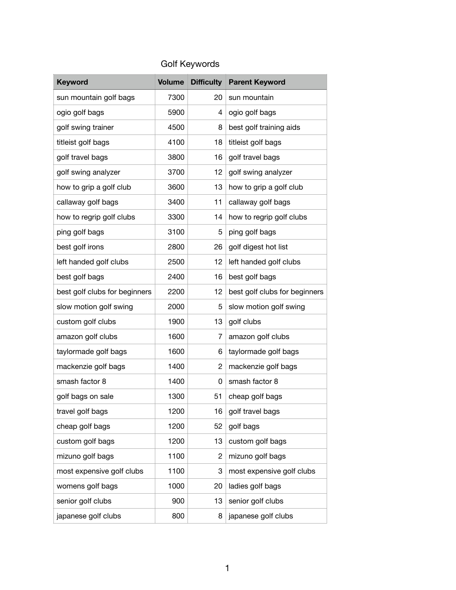## Golf Keywords

| <b>Keyword</b>                | <b>Volume</b> | <b>Difficulty</b> | <b>Parent Keyword</b>         |
|-------------------------------|---------------|-------------------|-------------------------------|
| sun mountain golf bags        | 7300          | 20                | sun mountain                  |
| ogio golf bags                | 5900          | 4                 | ogio golf bags                |
| golf swing trainer            | 4500          | 8                 | best golf training aids       |
| titleist golf bags            | 4100          | 18                | titleist golf bags            |
| golf travel bags              | 3800          | 16                | golf travel bags              |
| golf swing analyzer           | 3700          | 12                | golf swing analyzer           |
| how to grip a golf club       | 3600          | 13                | how to grip a golf club       |
| callaway golf bags            | 3400          | 11                | callaway golf bags            |
| how to regrip golf clubs      | 3300          | 14                | how to regrip golf clubs      |
| ping golf bags                | 3100          | 5                 | ping golf bags                |
| best golf irons               | 2800          | 26                | golf digest hot list          |
| left handed golf clubs        | 2500          | 12                | left handed golf clubs        |
| best golf bags                | 2400          | 16                | best golf bags                |
| best golf clubs for beginners | 2200          | 12                | best golf clubs for beginners |
| slow motion golf swing        | 2000          | 5                 | slow motion golf swing        |
| custom golf clubs             | 1900          | 13                | golf clubs                    |
| amazon golf clubs             | 1600          | 7                 | amazon golf clubs             |
| taylormade golf bags          | 1600          | 6                 | taylormade golf bags          |
| mackenzie golf bags           | 1400          | 2                 | mackenzie golf bags           |
| smash factor 8                | 1400          | 0                 | smash factor 8                |
| golf bags on sale             | 1300          | 51                | cheap golf bags               |
| travel golf bags              | 1200          | 16                | golf travel bags              |
| cheap golf bags               | 1200          | 52                | golf bags                     |
| custom golf bags              | 1200          | 13                | custom golf bags              |
| mizuno golf bags              | 1100          | $\overline{c}$    | mizuno golf bags              |
| most expensive golf clubs     | 1100          | 3                 | most expensive golf clubs     |
| womens golf bags              | 1000          | 20                | ladies golf bags              |
| senior golf clubs             | 900           | 13                | senior golf clubs             |
| japanese golf clubs           | 800           | 8                 | japanese golf clubs           |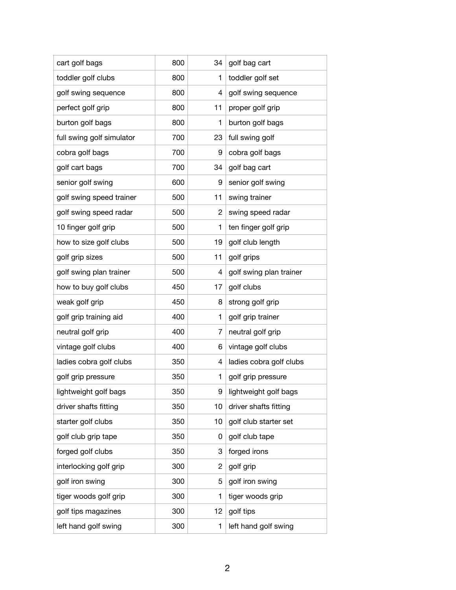| cart golf bags            | 800 | 34 | golf bag cart           |
|---------------------------|-----|----|-------------------------|
| toddler golf clubs        | 800 | 1  | toddler golf set        |
| golf swing sequence       | 800 | 4  | golf swing sequence     |
| perfect golf grip         | 800 | 11 | proper golf grip        |
| burton golf bags          | 800 | 1  | burton golf bags        |
| full swing golf simulator | 700 | 23 | full swing golf         |
| cobra golf bags           | 700 | 9  | cobra golf bags         |
| golf cart bags            | 700 | 34 | golf bag cart           |
| senior golf swing         | 600 | 9  | senior golf swing       |
| golf swing speed trainer  | 500 | 11 | swing trainer           |
| golf swing speed radar    | 500 | 2  | swing speed radar       |
| 10 finger golf grip       | 500 | 1  | ten finger golf grip    |
| how to size golf clubs    | 500 | 19 | golf club length        |
| golf grip sizes           | 500 | 11 | golf grips              |
| golf swing plan trainer   | 500 | 4  | golf swing plan trainer |
| how to buy golf clubs     | 450 | 17 | golf clubs              |
| weak golf grip            | 450 | 8  | strong golf grip        |
| golf grip training aid    | 400 | 1  | golf grip trainer       |
| neutral golf grip         | 400 | 7  | neutral golf grip       |
| vintage golf clubs        | 400 | 6  | vintage golf clubs      |
| ladies cobra golf clubs   | 350 | 4  | ladies cobra golf clubs |
| golf grip pressure        | 350 | 1  | golf grip pressure      |
| lightweight golf bags     | 350 | 9  | lightweight golf bags   |
| driver shafts fitting     | 350 | 10 | driver shafts fitting   |
| starter golf clubs        | 350 | 10 | golf club starter set   |
| golf club grip tape       | 350 | 0  | golf club tape          |
| forged golf clubs         | 350 | 3  | forged irons            |
| interlocking golf grip    | 300 | 2  | golf grip               |
| golf iron swing           | 300 | 5  | golf iron swing         |
| tiger woods golf grip     | 300 | 1  | tiger woods grip        |
| golf tips magazines       | 300 | 12 | golf tips               |
| left hand golf swing      | 300 | 1  | left hand golf swing    |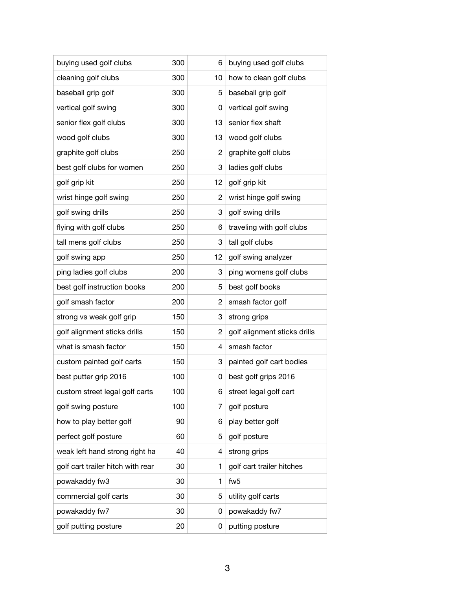| buying used golf clubs            | 300 | 6              | buying used golf clubs       |
|-----------------------------------|-----|----------------|------------------------------|
| cleaning golf clubs               | 300 | 10             | how to clean golf clubs      |
| baseball grip golf                | 300 | 5              | baseball grip golf           |
| vertical golf swing               | 300 | 0              | vertical golf swing          |
| senior flex golf clubs            | 300 | 13             | senior flex shaft            |
| wood golf clubs                   | 300 | 13             | wood golf clubs              |
| graphite golf clubs               | 250 | 2              | graphite golf clubs          |
| best golf clubs for women         | 250 | 3              | ladies golf clubs            |
| golf grip kit                     | 250 | 12             | golf grip kit                |
| wrist hinge golf swing            | 250 | $\overline{c}$ | wrist hinge golf swing       |
| golf swing drills                 | 250 | 3              | golf swing drills            |
| flying with golf clubs            | 250 | 6              | traveling with golf clubs    |
| tall mens golf clubs              | 250 | 3              | tall golf clubs              |
| golf swing app                    | 250 | 12             | golf swing analyzer          |
| ping ladies golf clubs            | 200 | 3              | ping womens golf clubs       |
| best golf instruction books       | 200 | 5              | best golf books              |
| golf smash factor                 | 200 | 2              | smash factor golf            |
| strong vs weak golf grip          | 150 | 3              | strong grips                 |
| golf alignment sticks drills      | 150 | 2              | golf alignment sticks drills |
| what is smash factor              | 150 | 4              | smash factor                 |
| custom painted golf carts         | 150 | 3              | painted golf cart bodies     |
| best putter grip 2016             | 100 | 0              | best golf grips 2016         |
| custom street legal golf carts    | 100 | 6              | street legal golf cart       |
| golf swing posture                | 100 | 7              | golf posture                 |
| how to play better golf           | 90  | 6              | play better golf             |
| perfect golf posture              | 60  | 5              | golf posture                 |
| weak left hand strong right ha    | 40  | 4              | strong grips                 |
| golf cart trailer hitch with rear | 30  | 1              | golf cart trailer hitches    |
| powakaddy fw3                     | 30  | 1              | fw <sub>5</sub>              |
| commercial golf carts             | 30  | 5              | utility golf carts           |
| powakaddy fw7                     | 30  | 0              | powakaddy fw7                |
| golf putting posture              | 20  | 0              | putting posture              |